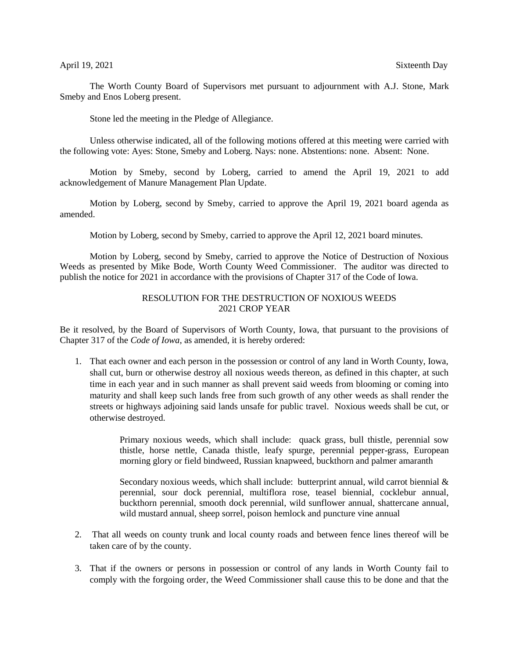The Worth County Board of Supervisors met pursuant to adjournment with A.J. Stone, Mark Smeby and Enos Loberg present.

Stone led the meeting in the Pledge of Allegiance.

Unless otherwise indicated, all of the following motions offered at this meeting were carried with the following vote: Ayes: Stone, Smeby and Loberg. Nays: none. Abstentions: none. Absent: None.

Motion by Smeby, second by Loberg, carried to amend the April 19, 2021 to add acknowledgement of Manure Management Plan Update.

Motion by Loberg, second by Smeby, carried to approve the April 19, 2021 board agenda as amended.

Motion by Loberg, second by Smeby, carried to approve the April 12, 2021 board minutes.

Motion by Loberg, second by Smeby, carried to approve the Notice of Destruction of Noxious Weeds as presented by Mike Bode, Worth County Weed Commissioner. The auditor was directed to publish the notice for 2021 in accordance with the provisions of Chapter 317 of the Code of Iowa.

## RESOLUTION FOR THE DESTRUCTION OF NOXIOUS WEEDS 2021 CROP YEAR

Be it resolved, by the Board of Supervisors of Worth County, Iowa, that pursuant to the provisions of Chapter 317 of the *Code of Iowa,* as amended, it is hereby ordered:

1. That each owner and each person in the possession or control of any land in Worth County, Iowa, shall cut, burn or otherwise destroy all noxious weeds thereon, as defined in this chapter, at such time in each year and in such manner as shall prevent said weeds from blooming or coming into maturity and shall keep such lands free from such growth of any other weeds as shall render the streets or highways adjoining said lands unsafe for public travel. Noxious weeds shall be cut, or otherwise destroyed.

> Primary noxious weeds, which shall include: quack grass, bull thistle, perennial sow thistle, horse nettle, Canada thistle, leafy spurge, perennial pepper-grass, European morning glory or field bindweed, Russian knapweed, buckthorn and palmer amaranth

> Secondary noxious weeds, which shall include: butterprint annual, wild carrot biennial & perennial, sour dock perennial, multiflora rose, teasel biennial, cocklebur annual, buckthorn perennial, smooth dock perennial, wild sunflower annual, shattercane annual, wild mustard annual, sheep sorrel, poison hemlock and puncture vine annual

- 2. That all weeds on county trunk and local county roads and between fence lines thereof will be taken care of by the county.
- 3. That if the owners or persons in possession or control of any lands in Worth County fail to comply with the forgoing order, the Weed Commissioner shall cause this to be done and that the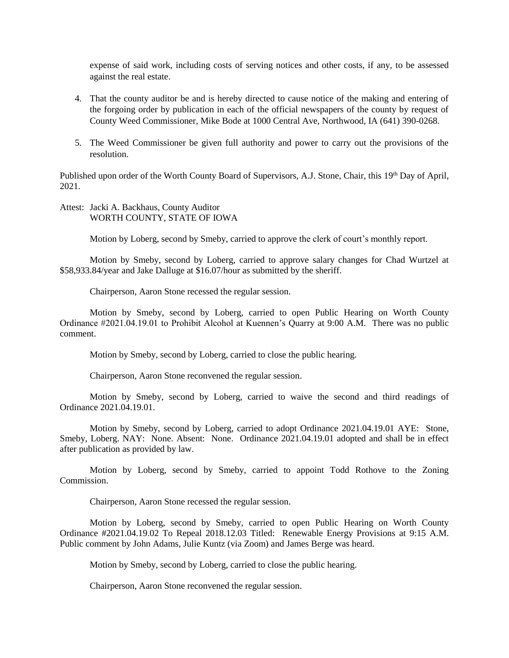expense of said work, including costs of serving notices and other costs, if any, to be assessed against the real estate.

- 4. That the county auditor be and is hereby directed to cause notice of the making and entering of the forgoing order by publication in each of the official newspapers of the county by request of County Weed Commissioner, Mike Bode at 1000 Central Ave, Northwood, IA (641) 390-0268.
- 5. The Weed Commissioner be given full authority and power to carry out the provisions of the resolution.

Published upon order of the Worth County Board of Supervisors, A.J. Stone, Chair, this 19<sup>th</sup> Day of April, 2021.

## Attest: Jacki A. Backhaus, County Auditor WORTH COUNTY, STATE OF IOWA

Motion by Loberg, second by Smeby, carried to approve the clerk of court's monthly report.

Motion by Smeby, second by Loberg, carried to approve salary changes for Chad Wurtzel at \$58,933.84/year and Jake Dalluge at \$16.07/hour as submitted by the sheriff.

Chairperson, Aaron Stone recessed the regular session.

Motion by Smeby, second by Loberg, carried to open Public Hearing on Worth County Ordinance #2021.04.19.01 to Prohibit Alcohol at Kuennen's Quarry at 9:00 A.M. There was no public comment.

Motion by Smeby, second by Loberg, carried to close the public hearing.

Chairperson, Aaron Stone reconvened the regular session.

Motion by Smeby, second by Loberg, carried to waive the second and third readings of Ordinance 2021.04.19.01.

Motion by Smeby, second by Loberg, carried to adopt Ordinance 2021.04.19.01 AYE: Stone, Smeby, Loberg. NAY: None. Absent: None. Ordinance 2021.04.19.01 adopted and shall be in effect after publication as provided by law.

Motion by Loberg, second by Smeby, carried to appoint Todd Rothove to the Zoning Commission.

Chairperson, Aaron Stone recessed the regular session.

Motion by Loberg, second by Smeby, carried to open Public Hearing on Worth County Ordinance #2021.04.19.02 To Repeal 2018.12.03 Titled: Renewable Energy Provisions at 9:15 A.M. Public comment by John Adams, Julie Kuntz (via Zoom) and James Berge was heard.

Motion by Smeby, second by Loberg, carried to close the public hearing.

Chairperson, Aaron Stone reconvened the regular session.